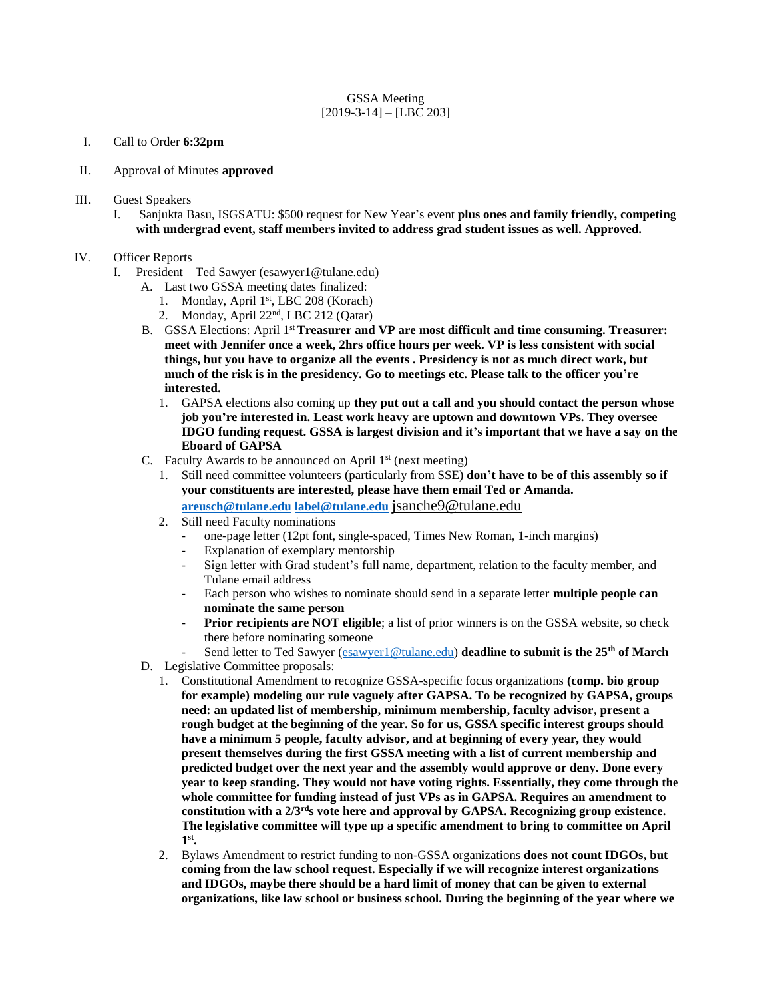# GSSA Meeting  $[2019-3-14] - [LBC 203]$

- I. Call to Order **6:32pm**
- II. Approval of Minutes **approved**
- III. Guest Speakers
	- I. Sanjukta Basu, ISGSATU: \$500 request for New Year's event **plus ones and family friendly, competing with undergrad event, staff members invited to address grad student issues as well. Approved.**

### IV. Officer Reports

- I. President Ted Sawyer (esawyer1@tulane.edu)
	- A. Last two GSSA meeting dates finalized:
		- 1. Monday, April 1st, LBC 208 (Korach)
		- 2. Monday, April 22nd, LBC 212 (Qatar)
	- B. GSSA Elections: April 1st **Treasurer and VP are most difficult and time consuming. Treasurer: meet with Jennifer once a week, 2hrs office hours per week. VP is less consistent with social things, but you have to organize all the events . Presidency is not as much direct work, but much of the risk is in the presidency. Go to meetings etc. Please talk to the officer you're interested.**
		- 1. GAPSA elections also coming up **they put out a call and you should contact the person whose job you're interested in. Least work heavy are uptown and downtown VPs. They oversee IDGO funding request. GSSA is largest division and it's important that we have a say on the Eboard of GAPSA**
	- C. Faculty Awards to be announced on April  $1<sup>st</sup>$  (next meeting)
		- 1. Still need committee volunteers (particularly from SSE) **don't have to be of this assembly so if your constituents are interested, please have them email Ted or Amanda. [areusch@tulane.edu](mailto:areusch@tulane.edu) [label@tulane.edu](mailto:label@tulane.edu)** [jsanche9@tulane.edu](mailto:jsanche9@tulane.edu)
		- 2. Still need Faculty nominations
			- one-page letter (12pt font, single-spaced, Times New Roman, 1-inch margins)
			- Explanation of exemplary mentorship
			- Sign letter with Grad student's full name, department, relation to the faculty member, and Tulane email address
			- Each person who wishes to nominate should send in a separate letter **multiple people can nominate the same person**
			- Prior recipients are NOT eligible; a list of prior winners is on the GSSA website, so check there before nominating someone
			- Send letter to Ted Sawyer [\(esawyer1@tulane.edu\)](mailto:esawyer1@tulane.edu) **deadline to submit is the 25th of March**
	- D. Legislative Committee proposals:
		- 1. Constitutional Amendment to recognize GSSA-specific focus organizations **(comp. bio group for example) modeling our rule vaguely after GAPSA. To be recognized by GAPSA, groups need: an updated list of membership, minimum membership, faculty advisor, present a rough budget at the beginning of the year. So for us, GSSA specific interest groups should have a minimum 5 people, faculty advisor, and at beginning of every year, they would present themselves during the first GSSA meeting with a list of current membership and predicted budget over the next year and the assembly would approve or deny. Done every year to keep standing. They would not have voting rights. Essentially, they come through the whole committee for funding instead of just VPs as in GAPSA. Requires an amendment to constitution with a 2/3rds vote here and approval by GAPSA. Recognizing group existence. The legislative committee will type up a specific amendment to bring to committee on April 1 st .**
		- 2. Bylaws Amendment to restrict funding to non-GSSA organizations **does not count IDGOs, but coming from the law school request. Especially if we will recognize interest organizations and IDGOs, maybe there should be a hard limit of money that can be given to external organizations, like law school or business school. During the beginning of the year where we**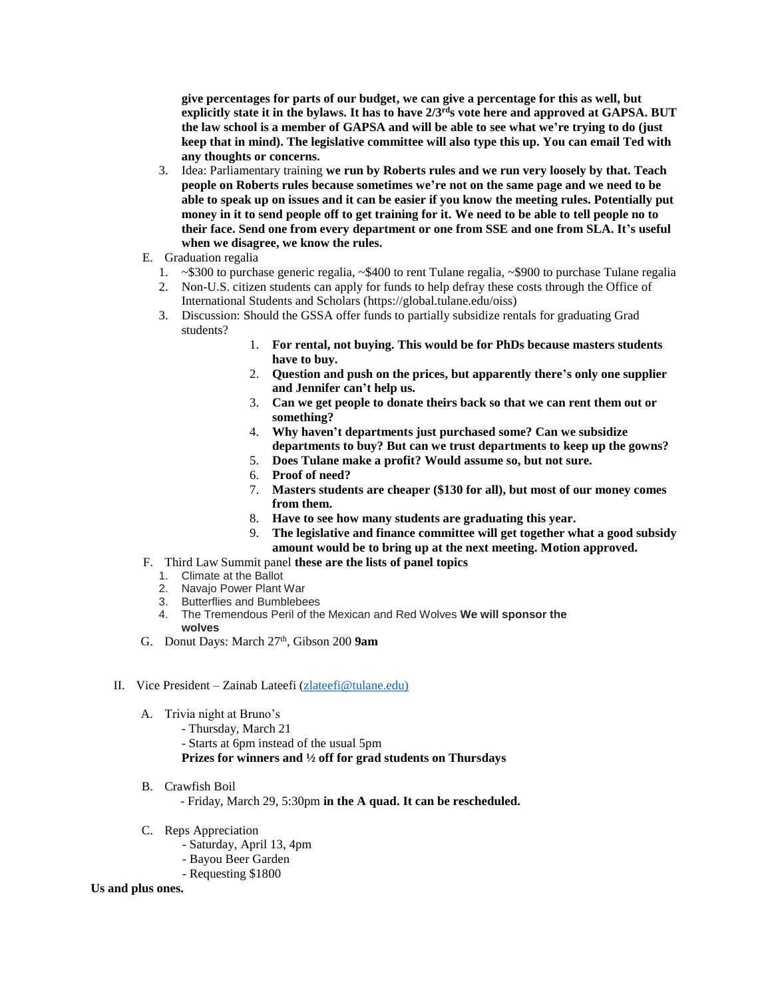**give percentages for parts of our budget, we can give a percentage for this as well, but explicitly state it in the bylaws. It has to have 2/3rds vote here and approved at GAPSA. BUT the law school is a member of GAPSA and will be able to see what we're trying to do (just keep that in mind). The legislative committee will also type this up. You can email Ted with any thoughts or concerns.**

- 3. Idea: Parliamentary training **we run by Roberts rules and we run very loosely by that. Teach people on Roberts rules because sometimes we're not on the same page and we need to be able to speak up on issues and it can be easier if you know the meeting rules. Potentially put money in it to send people off to get training for it. We need to be able to tell people no to their face. Send one from every department or one from SSE and one from SLA. It's useful when we disagree, we know the rules.**
- E. Graduation regalia
	- 1. ~\$300 to purchase generic regalia, ~\$400 to rent Tulane regalia, ~\$900 to purchase Tulane regalia
	- 2. Non-U.S. citizen students can apply for funds to help defray these costs through the Office of International Students and Scholars (https://global.tulane.edu/oiss)
	- 3. Discussion: Should the GSSA offer funds to partially subsidize rentals for graduating Grad students?
		- 1. **For rental, not buying. This would be for PhDs because masters students have to buy.**
		- 2. **Question and push on the prices, but apparently there's only one supplier and Jennifer can't help us.**
		- 3. **Can we get people to donate theirs back so that we can rent them out or something?**
		- 4. **Why haven't departments just purchased some? Can we subsidize departments to buy? But can we trust departments to keep up the gowns?**
		- 5. **Does Tulane make a profit? Would assume so, but not sure.**
		- 6. **Proof of need?**
		- 7. **Masters students are cheaper (\$130 for all), but most of our money comes from them.**
		- 8. **Have to see how many students are graduating this year.**
		- 9. **The legislative and finance committee will get together what a good subsidy amount would be to bring up at the next meeting. Motion approved.**
- F. Third Law Summit panel **these are the lists of panel topics**
	- 1. Climate at the Ballot
	- 2. Navajo Power Plant War
	- 3. Butterflies and Bumblebees
	- 4. The Tremendous Peril of the Mexican and Red Wolves **We will sponsor the wolves**
- G. Donut Days: March 27<sup>th</sup>, Gibson 200 9am

### II. Vice President – Zainab Lateefi [\(zlateefi@tulane.edu\)](mailto:zlateefi@tulane.edu))

- A. Trivia night at Bruno's
	- Thursday, March 21
	- Starts at 6pm instead of the usual 5pm

## **Prizes for winners and ½ off for grad students on Thursdays**

B. Crawfish Boil

- Friday, March 29, 5:30pm **in the A quad. It can be rescheduled.** 

- C. Reps Appreciation
	- Saturday, April 13, 4pm
	- Bayou Beer Garden
	- Requesting \$1800

#### **Us and plus ones.**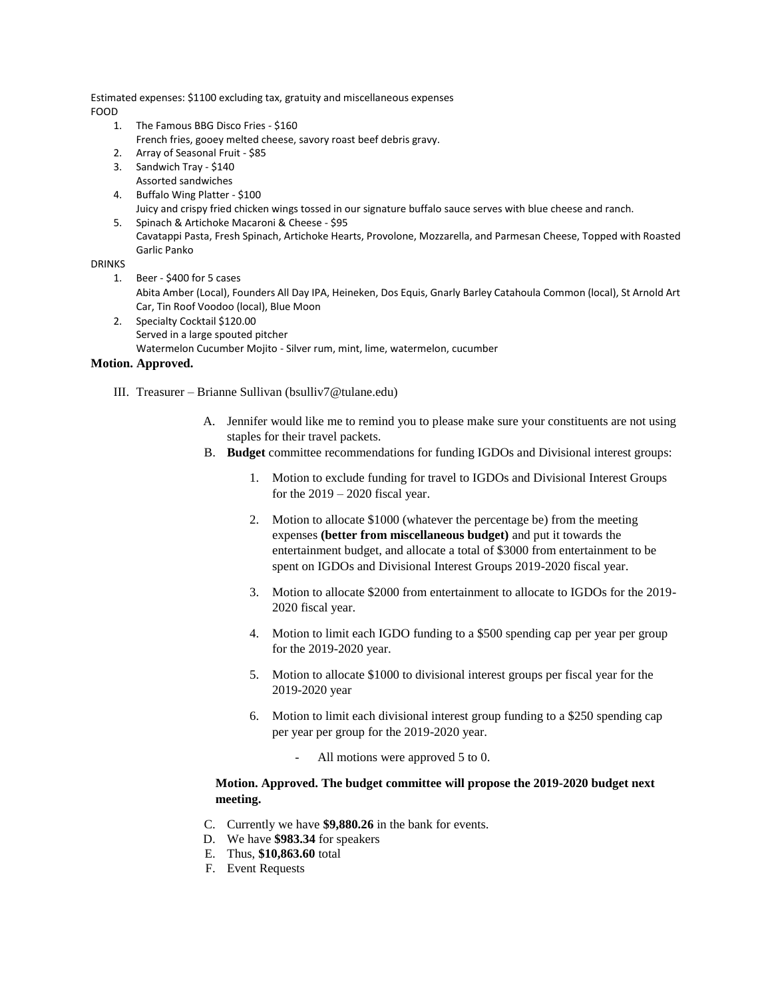Estimated expenses: \$1100 excluding tax, gratuity and miscellaneous expenses FOOD

- 1. The Famous BBG Disco Fries \$160
- French fries, gooey melted cheese, savory roast beef debris gravy.
- 2. Array of Seasonal Fruit \$85
- 3. Sandwich Tray \$140 Assorted sandwiches
- 4. Buffalo Wing Platter \$100 Juicy and crispy fried chicken wings tossed in our signature buffalo sauce serves with blue cheese and ranch.
- 5. Spinach & Artichoke Macaroni & Cheese \$95 Cavatappi Pasta, Fresh Spinach, Artichoke Hearts, Provolone, Mozzarella, and Parmesan Cheese, Topped with Roasted Garlic Panko

# DRINKS

- 1. Beer \$400 for 5 cases Abita Amber (Local), Founders All Day IPA, Heineken, Dos Equis, Gnarly Barley Catahoula Common (local), St Arnold Art Car, Tin Roof Voodoo (local), Blue Moon
- 2. Specialty Cocktail \$120.00 Served in a large spouted pitcher Watermelon Cucumber Mojito - Silver rum, mint, lime, watermelon, cucumber

## **Motion. Approved.**

- III. Treasurer Brianne Sullivan (bsulliv7@tulane.edu)
	- A. Jennifer would like me to remind you to please make sure your constituents are not using staples for their travel packets.
	- B. **Budget** committee recommendations for funding IGDOs and Divisional interest groups:
		- 1. Motion to exclude funding for travel to IGDOs and Divisional Interest Groups for the  $2019 - 2020$  fiscal year.
		- 2. Motion to allocate \$1000 (whatever the percentage be) from the meeting expenses **(better from miscellaneous budget)** and put it towards the entertainment budget, and allocate a total of \$3000 from entertainment to be spent on IGDOs and Divisional Interest Groups 2019-2020 fiscal year.
		- 3. Motion to allocate \$2000 from entertainment to allocate to IGDOs for the 2019- 2020 fiscal year.
		- 4. Motion to limit each IGDO funding to a \$500 spending cap per year per group for the 2019-2020 year.
		- 5. Motion to allocate \$1000 to divisional interest groups per fiscal year for the 2019-2020 year
		- 6. Motion to limit each divisional interest group funding to a \$250 spending cap per year per group for the 2019-2020 year.
			- All motions were approved 5 to 0.

# **Motion. Approved. The budget committee will propose the 2019-2020 budget next meeting.**

- C. Currently we have **\$9,880.26** in the bank for events.
- D. We have **\$983.34** for speakers
- E. Thus, **\$10,863.60** total
- F. Event Requests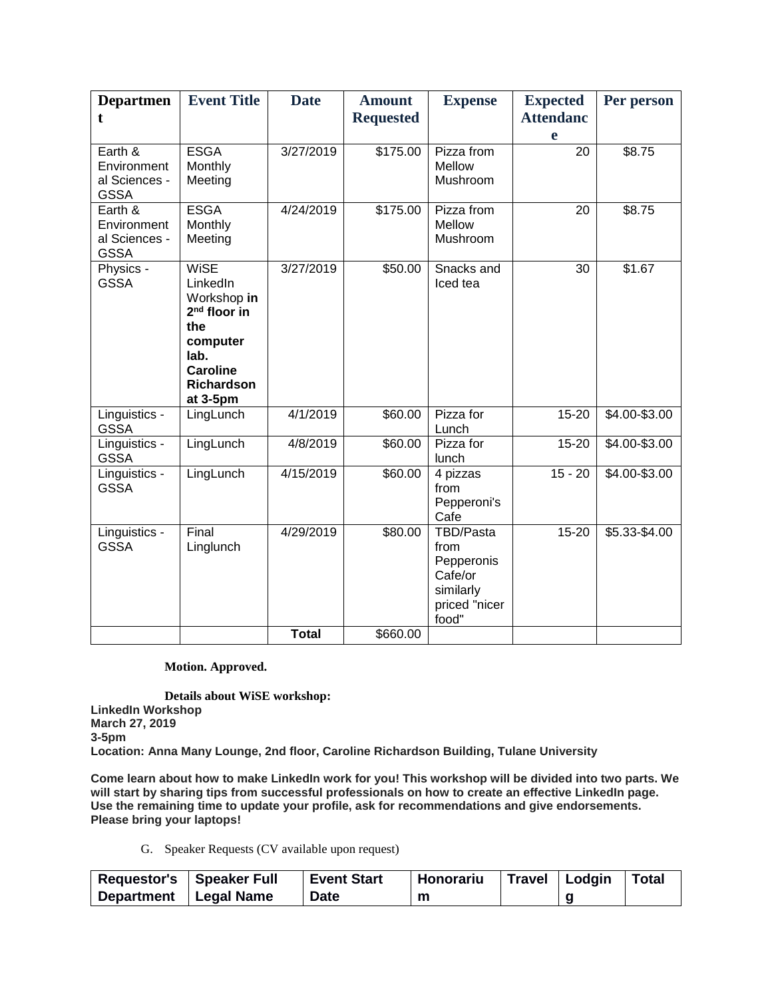| <b>Departmen</b><br>t                                  | <b>Event Title</b>                                                                                                                      | <b>Date</b>  | <b>Amount</b><br><b>Requested</b> | <b>Expense</b>                                                                    | <b>Expected</b><br><b>Attendanc</b><br>e | Per person      |
|--------------------------------------------------------|-----------------------------------------------------------------------------------------------------------------------------------------|--------------|-----------------------------------|-----------------------------------------------------------------------------------|------------------------------------------|-----------------|
| Earth &<br>Environment<br>al Sciences -<br><b>GSSA</b> | <b>ESGA</b><br>Monthly<br>Meeting                                                                                                       | 3/27/2019    | \$175.00                          | Pizza from<br>Mellow<br>Mushroom                                                  | 20                                       | \$8.75          |
| Earth &<br>Environment<br>al Sciences -<br><b>GSSA</b> | <b>ESGA</b><br>Monthly<br>Meeting                                                                                                       | 4/24/2019    | \$175.00                          | Pizza from<br>Mellow<br>Mushroom                                                  | 20                                       | \$8.75          |
| Physics -<br><b>GSSA</b>                               | <b>WiSE</b><br>LinkedIn<br>Workshop in<br>$2nd$ floor in<br>the<br>computer<br>lab.<br><b>Caroline</b><br><b>Richardson</b><br>at 3-5pm | 3/27/2019    | \$50.00                           | Snacks and<br>Iced tea                                                            | 30                                       | \$1.67          |
| Linguistics -<br><b>GSSA</b>                           | LingLunch                                                                                                                               | 4/1/2019     | \$60.00                           | Pizza for<br>Lunch                                                                | $15 - 20$                                | \$4.00-\$3.00   |
| Linguistics -<br><b>GSSA</b>                           | LingLunch                                                                                                                               | 4/8/2019     | \$60.00                           | Pizza for<br>lunch                                                                | 15-20                                    | \$4.00-\$3.00   |
| Linguistics -<br><b>GSSA</b>                           | LingLunch                                                                                                                               | 4/15/2019    | \$60.00                           | 4 pizzas<br>from<br>Pepperoni's<br>Cafe                                           | $15 - 20$                                | $$4.00 - $3.00$ |
| Linguistics -<br><b>GSSA</b>                           | Final<br>Linglunch                                                                                                                      | 4/29/2019    | \$80.00                           | TBD/Pasta<br>from<br>Pepperonis<br>Cafe/or<br>similarly<br>priced "nicer<br>food" | $15 - 20$                                | \$5.33-\$4.00   |
|                                                        |                                                                                                                                         | <b>Total</b> | \$660.00                          |                                                                                   |                                          |                 |

# **Motion. Approved.**

**Details about WiSE workshop: LinkedIn Workshop March 27, 2019 3-5pm Location: Anna Many Lounge, 2nd floor, Caroline Richardson Building, Tulane University**

Come learn about how to make LinkedIn work for you! This workshop will be divided into two parts. We **will start by sharing tips from successful professionals on how to create an effective LinkedIn page. Use the remaining time to update your profile, ask for recommendations and give endorsements. Please bring your laptops!**

G. Speaker Requests (CV available upon request)

| Requestor's Speaker Full |            | <b>Event Start</b> | Honorariu | Travel Lodgin | <b>Total</b> |
|--------------------------|------------|--------------------|-----------|---------------|--------------|
| Department               | Legal Name | <b>Date</b>        | m         |               |              |